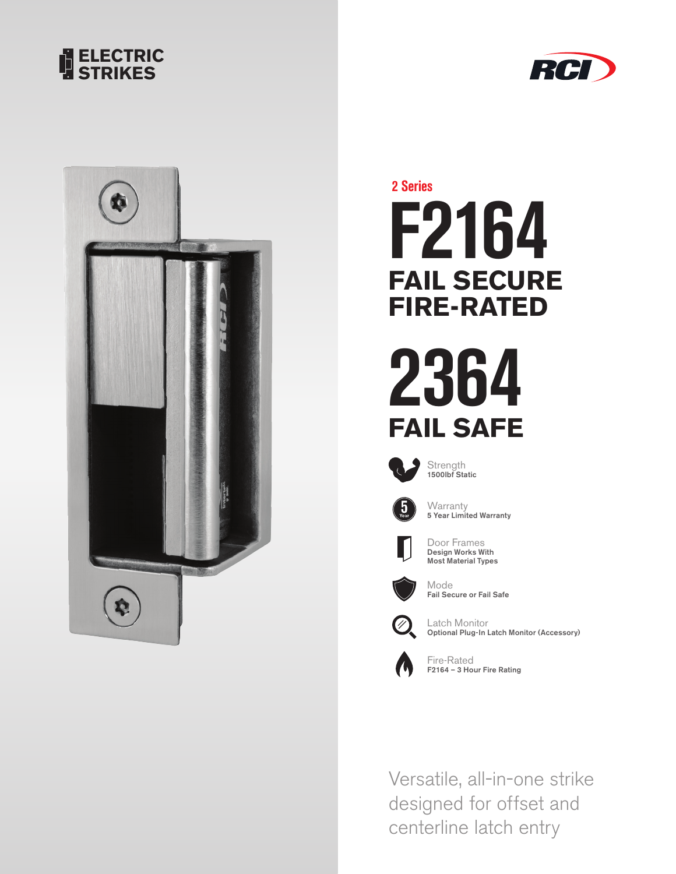





**F2164 FAIL SECURE FIRE-RATED 2 Series**

**2364 FAIL SAFE**

![](_page_0_Picture_5.jpeg)

Strength 1500lbf Static

**Warranty** 

![](_page_0_Picture_7.jpeg)

Door Frames Design Works With Most Material Types

5 Year Limited Warranty

![](_page_0_Picture_9.jpeg)

Mode Fail Secure or Fail Safe

![](_page_0_Picture_11.jpeg)

Latch Monitor Optional Plug-In Latch Monitor (Accessory)

![](_page_0_Picture_13.jpeg)

Fire-Rated F2164 – 3 Hour Fire Rating

Versatile, all-in-one strike designed for offset and centerline latch entry